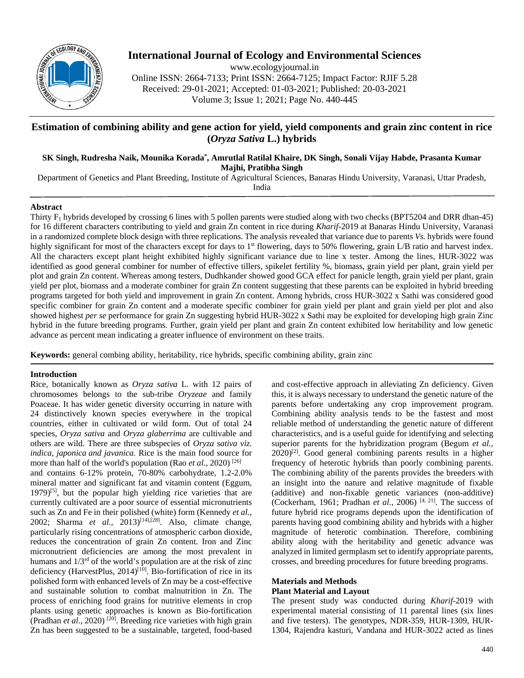

# **International Journal of Ecology and Environmental Sciences**

www.ecologyjournal.in

Online ISSN: 2664-7133; Print ISSN: 2664-7125; Impact Factor: RJIF 5.28 Received: 29-01-2021; Accepted: 01-03-2021; Published: 20-03-2021 Volume 3; Issue 1; 2021; Page No. 440-445

## **Estimation of combining ability and gene action for yield, yield components and grain zinc content in rice (***Oryza Sativa* **L.) hybrids**

# **SK Singh, Rudresha Naik, Mounika Korada\* , Amrutlal Ratilal Khaire, DK Singh, Sonali Vijay Habde, Prasanta Kumar**

**Majhi, Pratibha Singh**

Department of Genetics and Plant Breeding, Institute of Agricultural Sciences, Banaras Hindu University, Varanasi, Uttar Pradesh,

India

## **Abstract**

Thirty F1 hybrids developed by crossing 6 lines with 5 pollen parents were studied along with two checks (BPT5204 and DRR dhan-45) for 16 different characters contributing to yield and grain Zn content in rice during *Kharif*-2019 at Banaras Hindu University, Varanasi in a randomized complete block design with three replications. The analysis revealed that variance due to parents *Vs.* hybrids were found highly significant for most of the characters except for days to  $1<sup>st</sup>$  flowering, days to 50% flowering, grain L/B ratio and harvest index. All the characters except plant height exhibited highly significant variance due to line x tester. Among the lines, HUR-3022 was identified as good general combiner for number of effective tillers, spikelet fertility %, biomass, grain yield per plant, grain yield per plot and grain Zn content. Whereas among testers, Dudhkander showed good GCA effect for panicle length, grain yield per plant, grain yield per plot, biomass and a moderate combiner for grain Zn content suggesting that these parents can be exploited in hybrid breeding programs targeted for both yield and improvement in grain Zn content. Among hybrids, cross HUR-3022 x Sathi was considered good specific combiner for grain Zn content and a moderate specific combiner for grain yield per plant and grain yield per plot and also showed highest *per se* performance for grain Zn suggesting hybrid HUR-3022 x Sathi may be exploited for developing high grain Zinc hybrid in the future breeding programs. Further, grain yield per plant and grain Zn content exhibited low heritability and low genetic advance as percent mean indicating a greater influence of environment on these traits.

**Keywords:** general combing ability, heritability, rice hybrids, specific combining ability, grain zinc

## **Introduction**

Rice, botanically known as *Oryza sativa* L. with 12 pairs of chromosomes belongs to the sub-tribe *Oryzeae* and family Poaceae*.* It has wider genetic diversity occurring in nature with 24 distinctively known species everywhere in the tropical countries, either in cultivated or wild form. Out of total 24 species, *Oryza sativa* and *Oryza glaberrima* are cultivable and others are wild. There are three subspecies of *Oryza sativa viz. indica, japonica and javanica.* Rice is the main food source for more than half of the world's population (Rao *et al.*, 2020)<sup>[26]</sup> and contains 6-12% protein, 70-80% carbohydrate, 1.2-2.0% mineral matter and significant fat and vitamin content (Eggum,  $1979$ <sup>[5]</sup>, but the popular high yielding rice varieties that are currently cultivated are a poor source of essential micronutrients such as Zn and Fe in their polished (white) form (Kennedy *et al.,* 2002; Sharma *et al.,* 2013)[14],[28]. Also, climate change, particularly rising concentrations of atmospheric carbon dioxide, reduces the concentration of grain Zn content. Iron and Zinc micronutrient deficiencies are among the most prevalent in humans and  $1/3<sup>rd</sup>$  of the world's population are at the risk of zinc deficiency (HarvestPlus,  $2014$ )<sup>[10]</sup>. Bio-fortification of rice in its polished form with enhanced levels of Zn may be a cost-effective and sustainable solution to combat malnutrition in Zn. The process of enriching food grains for nutritive elements in crop plants using genetic approaches is known as Bio-fortification (Pradhan *et al*., 2020) [20]. Breeding rice varieties with high grain Zn has been suggested to be a sustainable, targeted, food-based

and cost-effective approach in alleviating Zn deficiency. Given this, it is always necessary to understand the genetic nature of the parents before undertaking any crop improvement program. Combining ability analysis tends to be the fastest and most reliable method of understanding the genetic nature of different characteristics, and is a useful guide for identifying and selecting superior parents for the hybridization program (Begum *et al.,*  $2020$ <sup>[2]</sup>. Good general combining parents results in a higher frequency of heterotic hybrids than poorly combining parents. The combining ability of the parents provides the breeders with an insight into the nature and relative magnitude of fixable (additive) and non-fixable genetic variances (non-additive) (Cockerham, 1961; Pradhan *et al.*, 2006) [4, 21]. The success of future hybrid rice programs depends upon the identification of parents having good combining ability and hybrids with a higher magnitude of heterotic combination. Therefore, combining ability along with the heritability and genetic advance was analyzed in limited germplasm set to identify appropriate parents, crosses, and breeding procedures for future breeding programs.

# **Materials and Methods**

## **Plant Material and Layout**

The present study was conducted during *Kharif*-2019 with experimental material consisting of 11 parental lines (six lines and five testers). The genotypes, NDR-359, HUR-1309, HUR-1304, Rajendra kasturi, Vandana and HUR-3022 acted as lines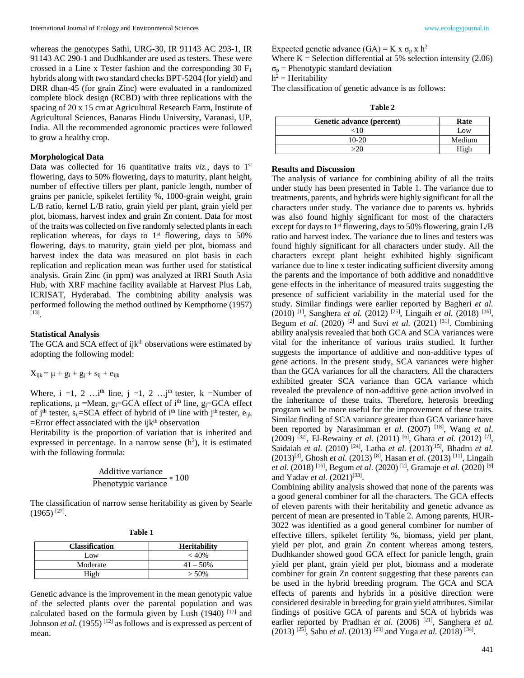whereas the genotypes Sathi, URG-30, IR 91143 AC 293-1, IR 91143 AC 290-1 and Dudhkander are used as testers. These were crossed in a Line x Tester fashion and the corresponding  $30 \text{ F}_1$ hybrids along with two standard checks BPT-5204 (for yield) and DRR dhan-45 (for grain Zinc) were evaluated in a randomized complete block design (RCBD) with three replications with the spacing of 20 x 15 cmat Agricultural Research Farm, Institute of Agricultural Sciences, Banaras Hindu University, Varanasi, UP, India. All the recommended agronomic practices were followed to grow a healthy crop.

#### **Morphological Data**

Data was collected for 16 quantitative traits *viz.*, days to 1<sup>st</sup> flowering, days to 50% flowering, days to maturity, plant height, number of effective tillers per plant, panicle length, number of grains per panicle, spikelet fertility %, 1000-grain weight, grain L/B ratio, kernel L/B ratio, grain yield per plant, grain yield per plot, biomass, harvest index and grain Zn content. Data for most of the traits was collected on five randomly selected plants in each replication whereas, for days to  $1<sup>st</sup>$  flowering, days to 50% flowering, days to maturity, grain yield per plot, biomass and harvest index the data was measured on plot basis in each replication and replication mean was further used for statistical analysis. Grain Zinc (in ppm) was analyzed at IRRI South Asia Hub, with XRF machine facility available at Harvest Plus Lab, ICRISAT, Hyderabad. The combining ability analysis was performed following the method outlined by Kempthorne (1957) [13] .

#### **Statistical Analysis**

The GCA and SCA effect of ijk<sup>th</sup> observations were estimated by adopting the following model:

 $X_{ijk} = \mu + g_i + g_j + s_{ij} + e_{ijk}$ 

Where, i =1, 2 …i<sup>th</sup> line, j =1, 2 …j<sup>th</sup> tester, k =Number of replications,  $\mu$  =Mean,  $g_i$ =GCA effect of i<sup>th</sup> line,  $g_j$ =GCA effect of j<sup>th</sup> tester,  $s_{ii}=SCA$  effect of hybrid of i<sup>th</sup> line with j<sup>th</sup> tester,  $e_{iik}$  $=$ Error effect associated with the ijk<sup>th</sup> observation

Heritability is the proportion of variation that is inherited and expressed in percentage. In a narrow sense  $(h^2)$ , it is estimated with the following formula:

Additive variance Phenotypic variance <sup>∗</sup> <sup>100</sup>

The classification of narrow sense heritability as given by Searle  $(1965)$ <sup>[27]</sup>.

| <b>Classification</b> | <b>Heritability</b> |
|-----------------------|---------------------|
| Low                   | $<$ 40%             |
| Moderate              | $41 - 50\%$         |
| High                  | $> 50\%$            |

Genetic advance is the improvement in the mean genotypic value of the selected plants over the parental population and was calculated based on the formula given by Lush  $(1940)$  [17] and Johnson *et al.* (1955)<sup>[12]</sup> as follows and is expressed as percent of mean.

Expected genetic advance  $(GA) = K x \sigma_p x h^2$ 

Where  $K =$  Selection differential at 5% selection intensity (2.06)  $\sigma_p$  = Phenotypic standard deviation

 $h^2$  = Heritability

The classification of genetic advance is as follows:

| anı |  |
|-----|--|
|-----|--|

| Genetic advance (percent) | Rate   |
|---------------------------|--------|
| ~10                       | Low    |
| $10-20$                   | Medium |
| -20                       | High   |

#### **Results and Discussion**

The analysis of variance for combining ability of all the traits under study has been presented in Table 1. The variance due to treatments, parents, and hybrids were highly significant for all the characters under study. The variance due to parents *vs.* hybrids was also found highly significant for most of the characters except for days to 1<sup>st</sup> flowering, days to 50% flowering, grain L/B ratio and harvest index. The variance due to lines and testers was found highly significant for all characters under study. All the characters except plant height exhibited highly significant variance due to line x tester indicating sufficient diversity among the parents and the importance of both additive and nonadditive gene effects in the inheritance of measured traits suggesting the presence of sufficient variability in the material used for the study. Similar findings were earlier reported by Bagheri *et al.* (2010) [1], Sanghera *et al.* (2012) [25], Lingaih *et al.* (2018) [16], Begum *et al.* (2020) <sup>[2]</sup> and Suvi *et al.* (2021) <sup>[31]</sup>. Combining ability analysis revealed that both GCA and SCA variances were vital for the inheritance of various traits studied. It further suggests the importance of additive and non-additive types of gene actions. In the present study, SCA variances were higher than the GCA variances for all the characters. All the characters exhibited greater SCA variance than GCA variance which revealed the prevalence of non-additive gene action involved in the inheritance of these traits. Therefore, heterosis breeding program will be more useful for the improvement of these traits. Similar finding of SCA variance greater than GCA variance have been reported by Narasimman *et al*. (2007) [18], Wang *et al*. (2009) [32], El-Rewainy *et al.* (2011) [6], Ghara *et al.* (2012) [7], Saidaiah *et al*. (2010) [24], Latha *et al.* (2013)[15], Bhadru *et al.*  (2013)[3], Ghosh *et al.* (2013) [8], Hasan *et al.* (2013) [11], Lingaih *et al.* (2018) [16], Begum *et al*. (2020) [2], Gramaje *et al.* (2020) [9] and Yadav *et al.* (2021)<sup>[33]</sup>.

Combining ability analysis showed that none of the parents was a good general combiner for all the characters. The GCA effects of eleven parents with their heritability and genetic advance as percent of mean are presented in Table 2. Among parents, HUR-3022 was identified as a good general combiner for number of effective tillers, spikelet fertility %, biomass, yield per plant, yield per plot, and grain Zn content whereas among testers, Dudhkander showed good GCA effect for panicle length, grain yield per plant, grain yield per plot, biomass and a moderate combiner for grain Zn content suggesting that these parents can be used in the hybrid breeding program. The GCA and SCA effects of parents and hybrids in a positive direction were considered desirable in breeding for grain yield attributes. Similar findings of positive GCA of parents and SCA of hybrids was earlier reported by Pradhan *et al.* (2006) <sup>[21]</sup>, Sanghera *et al.* (2013) [25], Sahu *et al*. (2013) [23] and Yuga *et al.* (2018) [34].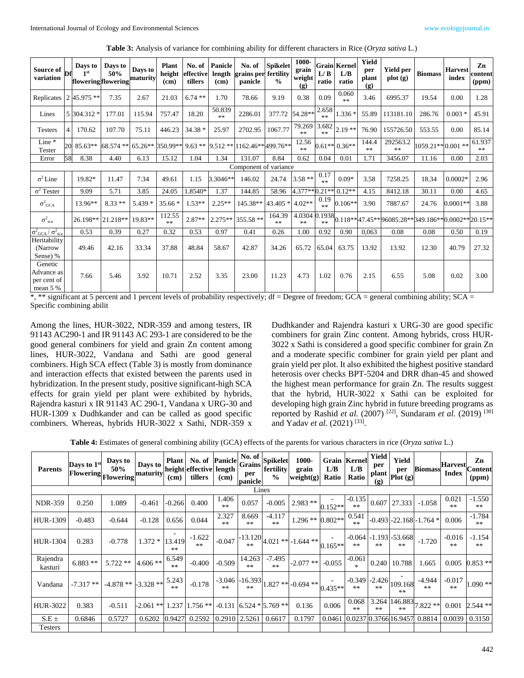| Source of<br>variation                                | Df             | Days to<br>1 <sup>st</sup><br>floweringflowering | Days to<br>50% | Days to<br>maturity | <b>Plant</b><br>height<br>(cm) | No. of<br>effective<br>tillers | Panicle<br>length<br>(cm) | No. of<br>grains per fertility<br>panicle                                             | <b>Spikelet</b><br>$\frac{0}{0}$ | 1000-<br>grain<br>weight<br>(g) | L/B<br>ratio | <b>Grain Kernel</b><br>L/B<br>ratio | Yield<br>per<br>plant<br>(g) | <b>Yield per</b><br>plot(g)                      | <b>Biomass</b>     | <b>Harvest</b><br>index | Zn<br>content<br>(ppm) |
|-------------------------------------------------------|----------------|--------------------------------------------------|----------------|---------------------|--------------------------------|--------------------------------|---------------------------|---------------------------------------------------------------------------------------|----------------------------------|---------------------------------|--------------|-------------------------------------|------------------------------|--------------------------------------------------|--------------------|-------------------------|------------------------|
| Replicates 245.975 **                                 |                |                                                  | 7.35           | 2.67                | 21.03                          | $6.74**$                       | 1.70                      | 78.66                                                                                 | 9.19                             | 0.38                            | 0.09         | 0.060<br>**                         | 3.46                         | 6995.37                                          | 19.54              | 0.00                    | 1.28                   |
| Lines                                                 |                | 5 304.312 *                                      | 177.01         | 115.94              | 757.47                         | 18.20                          | 50.839<br>$\gg \gg 1$     | 2286.01                                                                               | 377.72                           | 54.28**                         | 2.658<br>$*$ | $1.336*$                            | 55.89                        | 113181.10                                        | 286.76             | $0.003*$                | 45.91                  |
| <b>Testers</b>                                        | $\overline{4}$ | 170.62                                           | 107.70         | 75.11               | 446.23                         | 34.38 *                        | 25.97                     | 2702.95                                                                               | 1067.77                          | 79.269<br>$**$                  | 3.682<br>$*$ | $2.19**$                            | 76.90                        | 155726.50                                        | 553.55             | 0.00                    | 85.14                  |
| Line *<br>Tester                                      |                |                                                  |                |                     |                                |                                |                           | 20   85.63**   68.574 **  65.26**   350.99**  9.63 **   9.512 **  1162.46**  499.76** |                                  | 12.56<br>**                     |              | $0.61**0.36**$                      | 144.4<br>**                  | 292563.2<br>$\ast\ast$                           | 1059.21** 0.001 ** |                         | 61.937<br>$\gg 1$      |
| Error                                                 | 58             | 8.38                                             | 4.40           | 6.13                | 15.12                          | 1.04                           | 1.34                      | 131.07                                                                                | 8.84                             | 0.62                            | 0.04         | 0.01                                | 1.71                         | 3456.07                                          | 11.16              | 0.00                    | 2.03                   |
|                                                       |                |                                                  |                |                     |                                |                                |                           | Component of variance                                                                 |                                  |                                 |              |                                     |                              |                                                  |                    |                         |                        |
| $\sigma^2$ Line                                       |                | 19.82*                                           | 11.47          | 7.34                | 49.61                          | 1.15                           | 3.3046**                  | 146.02                                                                                | 24.74                            | $3.58**$                        | 0.17<br>$*$  | $0.09*$                             | 3.58                         | 7258.25                                          | 18.34              | $0.0002*$               | 2.96                   |
| $\sigma^2$ Tester                                     |                | 9.09                                             | 5.71           | 3.85                | 24.05                          | 1.8540*                        | 1.37                      | 144.85                                                                                | 58.96                            | 4.377**0.21**                   |              | $0.12**$                            | 4.15                         | 8412.18                                          | 30.11              | 0.00                    | 4.65                   |
| $\sigma^2$ <sub>GCA</sub>                             |                | 13.96**                                          | $8.33**$       | $5.439*$            | $35.66*$                       | $1.53**$                       | $2.25**$                  | 145.38**                                                                              | 43.405                           | $4.02**$                        | 0.19<br>$*$  | $0.106**$                           | 3.90                         | 7887.67                                          | 24.76              | $0.0001**$              | 3.88                   |
| $\sigma^2_{\text{sca}}$                               |                | 26.198** 21.218**                                |                | $19.83**$           | 112.55<br>$*$                  | $2.87**$                       | $2.275**$                 | 355.58 **                                                                             | 164.39<br>**                     | 4.0304<br>**                    | 1938<br>$**$ |                                     |                              | 0.118**47.45**96085.28**349.186**0.0002**20.15** |                    |                         |                        |
| $\sigma^2$ <sub>GCA</sub> / $\sigma^2$ <sub>sca</sub> |                | 0.53                                             | 0.39           | 0.27                | 0.32                           | 0.53                           | 0.97                      | 0.41                                                                                  | 0.26                             | 1.00                            | 0.92         | 0.90                                | 0.063                        | 0.08                                             | 0.08               | 0.50                    | 0.19                   |
| Heritability<br>(Narrow<br>Sense) %                   |                | 49.46                                            | 42.16          | 33.34               | 37.88                          | 48.84                          | 58.67                     | 42.87                                                                                 | 34.26                            | 65.72                           | 65.04        | 63.75                               | 13.92                        | 13.92                                            | 12.30              | 40.79                   | 27.32                  |
| Genetic<br>Advance as<br>per cent of<br>mean 5 %      |                | 7.66                                             | 5.46           | 3.92                | 10.71                          | 2.52                           | 3.35                      | 23.00                                                                                 | 11.23                            | 4.73                            | 1.02         | 0.76                                | 2.15                         | 6.55                                             | 5.08               | 0.02                    | 3.00                   |

**Table 3:** Analysis of variance for combining ability for different characters in Rice (*Oryza sativa* L.)

\*, \*\* significant at 5 percent and 1 percent levels of probability respectively; df = Degree of freedom; GCA = general combining ability; SCA = Specific combining abilit

Among the lines, HUR-3022, NDR-359 and among testers, IR 91143 AC290-1 and IR 91143 AC 293-1 are considered to be the good general combiners for yield and grain Zn content among lines, HUR-3022, Vandana and Sathi are good general combiners. High SCA effect (Table 3) is mostly from dominance and interaction effects that existed between the parents used in hybridization. In the present study, positive significant-high SCA effects for grain yield per plant were exhibited by hybrids, Rajendra kasturi x IR 91143 AC 290-1, Vandana x URG-30 and HUR-1309 x Dudhkander and can be called as good specific combiners. Whereas, hybrids HUR-3022 x Sathi, NDR-359 x Dudhkander and Rajendra kasturi x URG-30 are good specific combiners for grain Zinc content. Among hybrids, cross HUR-3022 x Sathi is considered a good specific combiner for grain Zn and a moderate specific combiner for grain yield per plant and grain yield per plot. It also exhibited the highest positive standard heterosis over checks BPT-5204 and DRR dhan-45 and showed the highest mean performance for grain Zn. The results suggest that the hybrid, HUR-3022 x Sathi can be exploited for developing high grain Zinc hybrid in future breeding programs as reported by Rashid *et al.* (2007) [22], Sundaram *et al.* (2019) [30] and Yadav *et al.* (2021) [33].

|  | Table 4: Estimates of general combining ability (GCA) effects of the parents for various characters in rice (Oryza sativa L.) |  |
|--|-------------------------------------------------------------------------------------------------------------------------------|--|
|  |                                                                                                                               |  |

| <b>Parents</b>      | Days to 1 <sup>st</sup><br>[Flowering]<br>Flowering <sup>"</sup> | Days to<br>50%                  | Days to height effective length | (cm)           | $\begin{array}{ l l }\n \hline\n \textbf{Plant} & \textbf{No. of} & \textbf{Panicle} & \textbf{No. of} & \textbf{Spikelet} \\ \textbf{height before the Lorente} & \textbf{Grains} & \textbf{F.} & \textbf{F.} \\ \hline\n \end{array}$<br>tillers | (cm)              | per<br>panicle | fertility<br>$\frac{0}{0}$ | 1000-<br>grain<br>weight(g)                                     | L/B<br>Ratio | <b>Grain Kernell</b><br>L/B<br>Ratio | Yield<br>per<br>(g) | Yield<br>per<br>$\int$ plant $\int$ plot (g) | <b>Biomass</b>           | $H$ arvest $\vert$ Content<br><b>Index</b> | Zn<br>(ppm)    |
|---------------------|------------------------------------------------------------------|---------------------------------|---------------------------------|----------------|----------------------------------------------------------------------------------------------------------------------------------------------------------------------------------------------------------------------------------------------------|-------------------|----------------|----------------------------|-----------------------------------------------------------------|--------------|--------------------------------------|---------------------|----------------------------------------------|--------------------------|--------------------------------------------|----------------|
|                     |                                                                  |                                 |                                 |                |                                                                                                                                                                                                                                                    |                   |                | Lines                      |                                                                 |              |                                      |                     |                                              |                          |                                            |                |
| <b>NDR-359</b>      | 0.250                                                            | 1.089                           | $-0.461$                        | $-0.266$       | 0.400                                                                                                                                                                                                                                              | 1.406<br>$**$     | 0.057          | $-0.005$                   | $2.983**$                                                       | $0.152**$    | $-0.135$<br>$**$                     | 0.607               | 27.333                                       | $-1.058$                 | 0.021<br>$**$                              | $-1.550$<br>** |
| HUR-1309            | $-0.483$                                                         | $-0.644$                        | $-0.128$                        | 0.656          | 0.044                                                                                                                                                                                                                                              | 2.327<br>$***$    | 8.669<br>**    | $-4.117$<br>**             | 1.296 ** 0.802 **                                               |              | 0.541<br>$**$                        |                     |                                              | -0.493 -22.168 -1.764 *  | 0.006                                      | $-1.784$<br>** |
| HUR-1304            | 0.283                                                            | $-0.778$                        | $1.372*$                        | 13.419<br>$**$ | $-1.622$<br>$**$                                                                                                                                                                                                                                   | $-0.047$          |                |                            | $\left 1^{13.120}_{}\right $ 4.021 ** $\left -.1.644\right $ ** | $0.165**$    | $**$                                 | $**$                | $-0.064$ $-1.193$ $-53.668$<br>$**$          | $-1.720$                 | $-0.016$<br>$**$                           | $-1.154$<br>** |
| Rajendra<br>kasturi | $6.883**$                                                        | $5.722**$                       | $4.606**$                       | 6.549<br>**    | $-0.400$                                                                                                                                                                                                                                           | $-0.509$          | 14.263<br>$**$ | -7.495<br>**               | $-2.077$ **                                                     | $-0.055$     | $-0.061$                             | 0.240               | 10.788                                       | 1.665                    | 0.005                                      | $0.853**$      |
| Vandana             | $-7.317**$                                                       | $-4.878**$ $-3.328**$ $5.243$ i |                                 |                | $-0.178$                                                                                                                                                                                                                                           | $-3.046$<br>$**$  |                |                            | $\left  \frac{-16.393}{1.827} \right  + 0.694**$                | $0.435**$    | $-0.349 - 2.426$<br>$**$             | $**$                | 109.168<br>**                                | $-4.944$<br>**           | $-0.017$<br>$**$                           | $1.090**$      |
| HUR-3022            | 0.383                                                            | $-0.511$                        | $-2.061$ ** 1.237               |                | $1.756$ ** $-0.131$ 6.524 * 5.769 **                                                                                                                                                                                                               |                   |                |                            | 0.136                                                           | 0.006        | 0.068<br>**                          |                     |                                              | $3.264$ 146.883 7.822 ** | 0.001                                      | $2.544**$      |
| $S.E \pm$           | 0.6846                                                           | 0.5727                          | 0.6202                          | 0.9427         | 0.2592                                                                                                                                                                                                                                             | $0.2910$   2.5261 |                | 0.6617                     | 0.1797                                                          | 0.0461       |                                      |                     | 0.0237 0.3766 16.9457                        | 0.8814                   | 0.0039                                     | 0.3150         |
| <b>Testers</b>      |                                                                  |                                 |                                 |                |                                                                                                                                                                                                                                                    |                   |                |                            |                                                                 |              |                                      |                     |                                              |                          |                                            |                |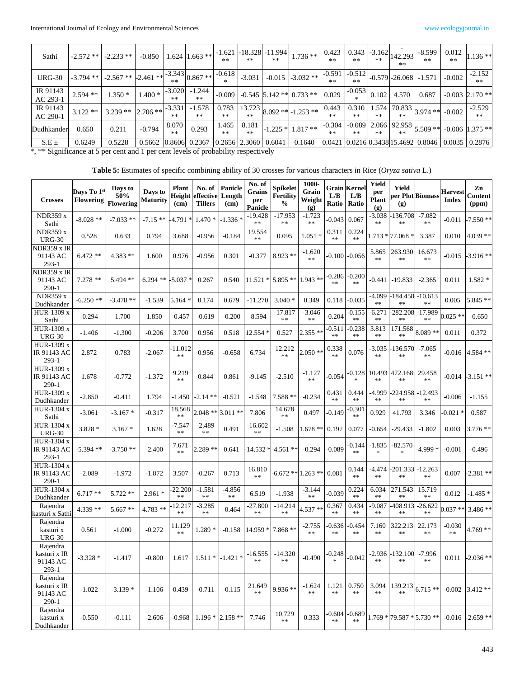| Sathi                | $-2.572$ ** | $-2.233$ **                         | $-0.850$   |                  | $1.624$ 1.663 **                                                                | $-1.621$<br>$**$ | $**$                                     | $-18.328$ $-11.994$<br>** | $1.736**$                  | 0.423            |                  |                     | $-10.343$ -3.162 $ 142.293 $<br>$**$ | $-8.599$<br>$**$                            | 0.012<br>$**$ | $1.136**$                 |
|----------------------|-------------|-------------------------------------|------------|------------------|---------------------------------------------------------------------------------|------------------|------------------------------------------|---------------------------|----------------------------|------------------|------------------|---------------------|--------------------------------------|---------------------------------------------|---------------|---------------------------|
| <b>URG-30</b>        |             | $-3.794$ ** $-2.567$ ** $-2.461$ ** |            |                  | ** $\left  \frac{-3.343}{3.343} \right  0.867$ ** $\left  \frac{-1}{2} \right $ | $-0.618$         | $-3.031$                                 |                           | $-0.015$ $-3.032$ **       | $-0.591$         | $-0.512$<br>$**$ |                     | $-0.579 - 26.068$                    | $-1.571$                                    | $-0.002$      | $-2.152$<br>$**$          |
| IR 91143<br>AC 293-1 | $2.594$ **  | $1.350*$                            | $1.400*$   | $-3.020$<br>$**$ | $-1.244$<br>**                                                                  | $-0.009$         |                                          |                           | $-0.545$ 5.142 ** 0.733 ** | 0.029            | $-0.053$         | 0.102               | 4.570                                | 0.687                                       |               | $-0.003$ 2.170**          |
| IR 91143<br>AC 290-1 | $3.122**$   | $3.239**$                           | $2.706$ ** | $-3.331$<br>**   | $-1.578$<br>$**$                                                                | 0.783<br>$**$    | 13.723<br>$**$                           |                           | $8.092$ ** -1.253 **       | 0.443<br>**      | $**$             | 0.310 1.574<br>$**$ |                                      | (4   70.833   3.974)                        | $-0.002$      | $-2.529$<br>**            |
| Dudhkander           | 0.650       | 0.211                               | $-0.794$   | 8.070<br>$**$    | 0.293                                                                           | 1.465<br>$**$    | 8.181<br>**                              |                           | $-1.225 * 1.817$ **        | $-0.304$<br>$**$ | $**$             | $**$                | $***$                                | $1 - 0.089$ 2.066 92.958 5.509              |               | $-0.006$ 1.375 **         |
| $S.E \pm$            | 0.6249      | 0.5228                              | 0.5662     |                  | 0.8606 0.2367                                                                   |                  | $\vert 0.2656 \vert 2.3060 \vert 0.6041$ |                           | 0.1640                     |                  |                  |                     |                                      | 0.0421   0.0216   0.3438   15.4692   0.8046 |               | $0.0035 \mid 0.2876 \mid$ |

\*, \*\* Significance at 5 per cent and 1 per cent levels of probability respectively

**Table 5:** Estimates of specific combining ability of 30 crosses for various characters in Rice (*Oryza sativa* L.)

| <b>Crosses</b>                                  | Davs To 1s<br><b>Flowering</b> | Days to<br>50%<br><b>Flowering</b> | Days to<br><b>Maturity</b> | <b>Plant</b><br>Height<br>(cm) | No. of<br>effective Length<br><b>Tillers</b> | Panicle<br>(cm)        | No. of<br>Grains<br>per<br><b>Panicle</b> | Spikelet<br><b>Fertility</b><br>$\frac{0}{0}$ | 1000-<br>Grain<br>Weight<br>(g) | L/B<br>Ratio           | <b>Grain Kernel</b><br>L/B<br>Ratio | Yield<br>per<br>Plant<br>(g) | Yield<br>(g)                       | per Plot Biomass            | <b>Harvest</b><br><b>Index</b> | Zn<br><b>Content</b><br>(ppm) |
|-------------------------------------------------|--------------------------------|------------------------------------|----------------------------|--------------------------------|----------------------------------------------|------------------------|-------------------------------------------|-----------------------------------------------|---------------------------------|------------------------|-------------------------------------|------------------------------|------------------------------------|-----------------------------|--------------------------------|-------------------------------|
| <b>NDR359 x</b><br>Sathi                        | $-8.028**$                     | $-7.033**$                         | $-7.15**$                  | 4.791 *                        | $1.470*$                                     | -1.336 *               | $-19.428$<br>**                           | $-17.953$<br>**                               | $-1.723$<br>**                  | $-0.043$               | 0.067                               | $-3.038$<br>**               | $-136.708$<br>**                   | $-7.082$<br>**              | $-0.011$                       | 7.550 **                      |
| <b>NDR359 x</b><br><b>URG-30</b>                | 0.528                          | 0.633                              | 0.794                      | 3.688                          | $-0.956$                                     | $-0.184$               | 19.554<br>$\ast$ $\ast$                   | 0.095                                         | $1.051*$                        | 0.311<br>$\ast$ $\ast$ | 0.224<br>$\ast$ $\ast$              |                              | 1.713 * 77.068 *                   | 3.387                       | 0.010                          | $4.039**$                     |
| <b>NDR359 x IR</b><br>91143 AC<br>$293-1$       | $6.472**$                      | $4.383**$                          | 1.600                      | 0.976                          | $-0.956$                                     | 0.301                  | $-0.377$                                  | $8.923**$                                     | $-1.620$<br>$**$                | $-0.100$               | $-0.056$                            | 5.865<br>$**$                | 263.930<br>**                      | 16.673<br>$**$              | $-0.015$                       | $-3.916$ **                   |
| <b>NDR359 x IR</b><br>91143 AC<br>$290-1$       | $7.278**$                      | 5.494 **                           | 6.294 ** $-5.037$ *        |                                | 0.267                                        | 0.540                  |                                           | $11.521 * 5.895 ** 1.943 **$                  |                                 | $-0.286$<br>**         | -0.200<br>**                        | -0.441                       | $-19.833$                          | $-2.365$                    | 0.011                          | $1.582 *$                     |
| <b>NDR359 x</b><br>Dudhkander                   | $-6.250**$                     | $-3.478**$                         | $-1.539$                   | $5.164*$                       | 0.174                                        | 0.679                  | $-11.270$                                 | $3.040*$                                      | 0.349                           | 0.118                  | $-0.035$                            | $-4.099$<br>**               | -184.458<br>$\ast$ $\ast$          | $-10.613$<br>**             | 0.005                          | 5.845 **                      |
| HUR-1309 x<br>Sathi                             | $-0.294$                       | 1.700                              | 1.850                      | $-0.457$                       | $-0.619$                                     | $-0.200$               | $-8.594$                                  | $-17.817$<br>**                               | $-3.046$<br>**                  | $-0.204$               | $-0.155$<br>**                      | $-6.271$<br>$\ast$           | $-282.208$<br>$**$                 | -17.989<br>$**$             | $0.025**$                      | $-0.650$                      |
| HUR-1309 x<br><b>URG-30</b>                     | $-1.406$                       | $-1.300$                           | $-0.206$                   | 3.700                          | 0.956                                        | 0.518                  | $12.554*$                                 | 0.527                                         | $2.355**$                       | $-0.511$<br>**         | $-0.238$<br>$\ast$                  | 3.813<br>**                  | 171.568<br>$**$                    | $8.089**$                   | 0.011                          | 0.372                         |
| HUR-1309 x<br>IR 91143 AC<br>$293 - 1$          | 2.872                          | 0.783                              | $-2.067$                   | -11.012<br>$\ast$              | 0.956                                        | $-0.658$               | 6.734                                     | 12.212<br>$**$                                | $2.050**$                       | 0.338<br>**            | 0.076                               | $-3.035$<br>**               | -136.570<br>**                     | $-7.065$<br>$\ast$ $\ast$   | $-0.016$                       | 4.584 **                      |
| HUR-1309 x<br>IR 91143 AC<br>$290 - 1$          | 1.678                          | $-0.772$                           | $-1.372$                   | 9.219<br>$\ast$                | 0.844                                        | 0.861                  | $-9.145$                                  | $-2.510$                                      | $-1.127$<br>$**$                | $-0.054$               |                                     | 0.128 10.493<br>**           | 472.168<br>$\ast$ $\ast$           | 29.458<br>**                | -0.014                         | $-3.151$ **                   |
| HUR-1309 x<br>Dudhkander                        | $-2.850$                       | $-0.411$                           | 1.794                      | $-1.450$                       | -2.14 **                                     | $-0.521$               | $-1.548$                                  | 7.588 **                                      | $-0.234$                        | 0.431<br>**            | 0.444<br>**                         | -4.999<br>**                 | 224.958<br>**                      | $-12.493$<br>**             | $-0.006$                       | $-1.155$                      |
| HUR-1304 x<br>Sathi                             | $-3.061$                       | $-3.167*$                          | $-0.317$                   | 18.568<br>**                   | $2.048**$                                    | $3.011**$              | 7.806                                     | 14.678<br>**                                  | 0.497                           | $-0.149$               | $-0.301$<br>**                      | 0.929                        | 41.793                             | 3.346                       | $-0.021*$                      | 0.587                         |
| HUR-1304 x<br><b>URG-30</b>                     | $3.828*$                       | $3.167*$                           | 1.628                      | $-7.547$<br>**                 | $-2.489$<br>**                               | 0.491                  | $-16.602$<br>**                           | $-1.508$                                      | $1.678**$                       | 0.197                  | 0.077                               | $-0.654$                     | -29.433                            | $-1.802$                    | 0.003                          | $3.776$ **                    |
| HUR-1304 x<br>IR 91143 AC<br>$293 - 1$          | $-5.394$ **                    | $-3.750**$                         | $-2.400$                   | 7.671<br>**                    | $2.289**$                                    | 0.641                  |                                           | $-14.532 * -4.561 * *$                        | $-0.294$                        | $-0.089$               | 0.144<br>**                         | -1.835<br>$\frac{1}{2}$      | -82.570<br>*.                      | $-4.999*$                   | $-0.001$                       | $-0.496$                      |
| HUR-1304 x<br>IR 91143 AC<br>$290 - 1$          | $-2.089$                       | $-1.972$                           | $-1.872$                   | 3.507                          | $-0.267$                                     | 0.713                  | 16.810<br>$\ast$ $\ast$                   |                                               | $-6.672**1.263**$               | 0.081                  | 0.144<br>$\ast$ $\ast$              | -4.474<br>$\ast$             | -201.333  -12.263<br>$\ast$ $\ast$ | $\ast$ $\ast$               | 0.007                          | $-2.381$ **                   |
| HUR-1304 x<br>Dudhkander                        | $6.717**$                      | $5.722**$                          | $2.961 *$                  | 22.200<br>$\ast$               | $-1.581$<br>**                               | $-4.856$<br>$\ast\ast$ | 6.519                                     | $-1.938$                                      | $-3.144$<br>$**$                | $-0.039$               | 0.224<br>$\ast$ $\ast$              | 6.034<br>$\ast$              | 271.543<br>$\ast$                  | 15.719<br>$\ast$            | 0.012                          | $-1.485*$                     |
| Rajendra<br>kasturi x Sathi                     | 4.339 **                       | $5.667**$                          | 4.783 **                   | $-12.217$<br>**                | $-3.285$<br>**                               | -0.464                 | -27.800<br>$\ast$                         | $-14.214$<br>$\ast$ $\ast$                    | $4.537**$                       | 0.367<br>$**$          | 0.434<br>$\ast$                     | $-9.087$<br>$\ast$           | 408.913<br>$\ast$ $\ast$           | -26.622<br>$\ast$ $\ast$    |                                | $0.037$ ** -3.486 **          |
| Rajendra<br>kasturi x<br><b>URG-30</b>          | 0.561                          | $-1.000$                           | $-0.272$                   | 11.129<br>$\ast$               | $1.289*$                                     | $-0.158$               | 14.959 *                                  | $7.868**$                                     | $-2.755$<br>$\ast$ $\ast$       | $-0.636$<br>$\ast$     | $-0.454$<br>$\ast$                  | 7.160<br>$\ast$              | 322.213<br>$\ast$ $\ast$           | 22.173<br>$\ast$ $\ast$     | $-0.030$<br>$**$               | $4.769**$                     |
| Rajendra<br>kasturi x IR<br>91143 AC<br>$293-1$ | $-3.328*$                      | $-1.417$                           | $-0.800$                   |                                | $1.617$   $1.511$ *   $-1.421$ *             |                        | $-16.555$<br>**                           | $-14.320$<br>**                               | $-0.490$                        | $-0.248$               | $-0.042$                            | **                           | $-2.936 - 132.100$<br>**           | $-7.996$<br>**              |                                | $0.011 - 2.036$ **            |
| Rajendra<br>kasturi x IR<br>91143 AC<br>$290-1$ | $-1.022$                       | $-3.139*$                          | $-1.106$                   | 0.439                          | $-0.711$                                     | $-0.115$               | 21.649<br>$**$                            | 9.936 **                                      | $-1.624$<br>$\ast$ $\ast$       | 1.121<br>$\ast$ $\ast$ | 0.750<br>$\ast$ $\ast$              | 3.094<br>$\ast$              |                                    | $139.213$ 6.715 **          |                                | $-0.002$ 3.412**              |
| Rajendra<br>kasturi x<br>Dudhkander             | $-0.550$                       | $-0.111$                           | $-2.606$                   |                                | $-0.968$ 1.196 $*$                           | $2.158**$              | 7.746                                     | 10.729<br>$\ast$                              | 0.333                           | $-0.604$<br>**         | $-0.689$<br>$**$                    |                              |                                    | $1.769 * 79.587 * 5.730 **$ |                                | $-0.016$ $-2.659$ **          |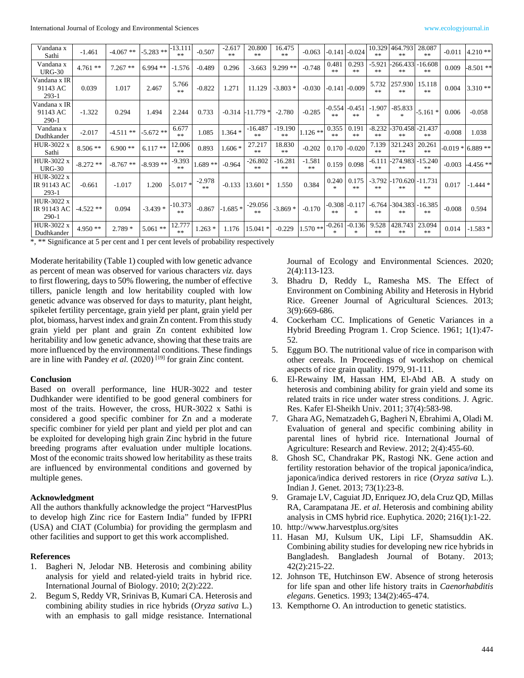International Journal of Ecology and Environmental Sciences www.ecologyjournal.in

| Vandana x<br>Sathi                   | $-1.461$   | $-4.067**$ | $-5.283$ ** | -13.111<br>**      | $-0.507$       | $-2.617$<br>** | 20.800<br>**    | 16.475<br>$*$    | $-0.063$       |                        | $-0.141$ $-0.024$       | 10.329<br>$\gg \gg$       | 464.793<br>$**$            | 28.087<br>**       | $-0.011$ | $4.210**$           |
|--------------------------------------|------------|------------|-------------|--------------------|----------------|----------------|-----------------|------------------|----------------|------------------------|-------------------------|---------------------------|----------------------------|--------------------|----------|---------------------|
| Vandana x<br><b>URG-30</b>           | $4.761**$  | $7.267**$  | $6.994**$   | $-1.576$           | $-0.489$       | 0.296          | $-3.663$        | $9.299**$        | $-0.748$       | 0.481<br>**            | 0.293<br>**             | $-5.92$<br>**             | $-266.433$<br>$**$         | $-16.608$<br>**    | 0.009    | $-8.501**$          |
| Vandana x IR<br>91143 AC<br>$293-1$  | 0.039      | 1.017      | 2.467       | 5.766<br>$\gg \gg$ | $-0.822$       | 1.271          | 11.129          | $-3.803*$        | $-0.030$       |                        | $-0.141 - 0.009$        | 5.732<br>$\gg \gg$        | 257.930<br>$**$            | 15.118<br>**       | 0.004    | $3.310**$           |
| Vandana x IR<br>91143 AC<br>$290-1$  | $-1.322$   | 0.294      | 1.494       | 2.244              | 0.733          | $-0.314$       | $-11.779*$      | $-2.780$         | $-0.285$       | 米米                     | $-0.554$ $-0.451$<br>米米 | $-1.907$<br>$\frac{1}{2}$ | $-85.833$<br>$\mathcal{H}$ | $-5.161*$          | 0.006    | $-0.058$            |
| Vandana x<br>Dudhkander              | $-2.017$   | $-4.511**$ | $-5.672$ ** | 6.677<br>$\gg \gg$ | 1.085          | $1.364*$       | $-16.487$<br>米米 | $-19.190$<br>$*$ | $1.126**$      | 0.355<br>**            | 0.191<br>**             | $-8.232$<br>**            | -370.458<br>$**$           | $-21.437$<br>$\gg$ | $-0.008$ | 1.038               |
| <b>HUR-3022 x</b><br>Sathi           | $8.506**$  | $6.900**$  | $6.117**$   | 12.006<br>**       | 0.893          | $1.606*$       | 27.217<br>**    | 18.830<br>**     | $-0.202$       |                        | $0.170 - 0.020$         | 7.139<br>**               | 321.243<br>**              | 20.261<br>**       |          | $-0.019 * 6.889 **$ |
| <b>HUR-3022 x</b><br><b>URG-30</b>   | $-8.272**$ | $-8.767**$ | $-8.939**$  | $-9.393$<br>**     | $1.689**$      | $-0.964$       | $-26.802$<br>** | $-16.281$<br>**  | $-1.581$<br>** | 0.159                  | 0.098                   | $-6.111$<br>**            | -274.983<br>$**$           | $-15.240$<br>$**$  | $-0.003$ | $-4.456**$          |
| HUR-3022 x<br>IR 91143 AC<br>$293-1$ | $-0.661$   | $-1.017$   | 1.200       | $-5.017*$          | $-2.978$<br>米米 | $-0.133$       | $13.601*$       | 1.550            | 0.384          | 0.240<br>$\frac{1}{2}$ | 0.175<br>**             | $-3.792$<br>**            | 170.620 - 11.731<br>$**$   | **                 | 0.017    | $-1.444*$           |
| HUR-3022 x<br>IR 91143 AC<br>$290-1$ | $-4.522**$ | 0.094      | $-3.439*$   | -10.373<br>**      | $-0.867$       | $-1.685*$      | -29.056<br>米米   | $-3.869*$        | $-0.170$       | $-0.308$<br>**         | $-0.117$<br>$\star$     | $-6.764$<br>**            | -304.383 -16.385<br>**     | **                 | $-0.008$ | 0.594               |
| <b>HUR-3022 x</b><br>Dudhkander      | $4.950**$  | $2.789*$   | $5.061$ **  | 12.777<br>**       | $1.263*$       | 1.176          | 15.041 *        | $-0.229$         | $1.570**$      | $-0.261$<br>$*$        | $-0.136$<br>$\ast$      | 9.528<br>**               | 428.743<br>$**$            | 23.094<br>**       | 0.014    | $-1.583*$           |

\*, \*\* Significance at 5 per cent and 1 per cent levels of probability respectively

Moderate heritability (Table 1) coupled with low genetic advance as percent of mean was observed for various characters *viz.* days to first flowering, days to 50% flowering, the number of effective tillers, panicle length and low heritability coupled with low genetic advance was observed for days to maturity, plant height, spikelet fertility percentage, grain yield per plant, grain yield per plot, biomass, harvest index and grain Zn content. From this study grain yield per plant and grain Zn content exhibited low heritability and low genetic advance, showing that these traits are more influenced by the environmental conditions. These findings are in line with Pandey *et al.* (2020)<sup>[19]</sup> for grain Zinc content.

#### **Conclusion**

Based on overall performance, line HUR-3022 and tester Dudhkander were identified to be good general combiners for most of the traits. However, the cross, HUR-3022 x Sathi is considered a good specific combiner for Zn and a moderate specific combiner for yield per plant and yield per plot and can be exploited for developing high grain Zinc hybrid in the future breeding programs after evaluation under multiple locations. Most of the economic traits showed low heritability as these traits are influenced by environmental conditions and governed by multiple genes.

#### **Acknowledgment**

All the authors thankfully acknowledge the project "HarvestPlus to develop high Zinc rice for Eastern India" funded by IFPRI (USA) and CIAT (Columbia) for providing the germplasm and other facilities and support to get this work accomplished.

## **References**

- 1. Bagheri N, Jelodar NB. Heterosis and combining ability analysis for yield and related-yield traits in hybrid rice. International Journal of Biology. 2010; 2(2):222.
- 2. Begum S, Reddy VR, Srinivas B, Kumari CA. Heterosis and combining ability studies in rice hybrids (*Oryza sativa* L.) with an emphasis to gall midge resistance. International

Journal of Ecology and Environmental Sciences. 2020; 2(4):113-123.

- 3. Bhadru D, Reddy L, Ramesha MS. The Effect of Environment on Combining Ability and Heterosis in Hybrid Rice. Greener Journal of Agricultural Sciences. 2013; 3(9):669-686.
- 4. Cockerham CC. Implications of Genetic Variances in a Hybrid Breeding Program 1. Crop Science. 1961; 1(1):47- 52.
- 5. Eggum BO. The nutritional value of rice in comparison with other cereals. In Proceedings of workshop on chemical aspects of rice grain quality. 1979, 91-111.
- 6. El-Rewainy IM, Hassan HM, El-Abd AB. A study on heterosis and combining ability for grain yield and some its related traits in rice under water stress conditions. J. Agric. Res. Kafer El-Sheikh Univ. 2011; 37(4):583-98.
- 7. Ghara AG, Nematzadeh G, Bagheri N, Ebrahimi A, Oladi M. Evaluation of general and specific combining ability in parental lines of hybrid rice. International Journal of Agriculture: Research and Review. 2012; 2(4):455-60.
- 8. Ghosh SC, Chandrakar PK, Rastogi NK. Gene action and fertility restoration behavior of the tropical japonica/indica, japonica/indica derived restorers in rice (*Oryza sativa* L.). Indian J. Genet. 2013; 73(1):23-8.
- 9. Gramaje LV, Caguiat JD, Enriquez JO, dela Cruz QD, Millas RA, Carampatana JE. *et al*. Heterosis and combining ability analysis in CMS hybrid rice. Euphytica. 2020; 216(1):1-22.
- 10. http://www.harvestplus.org/sites
- 11. Hasan MJ, Kulsum UK, Lipi LF, Shamsuddin AK. Combining ability studies for developing new rice hybrids in Bangladesh. Bangladesh Journal of Botany. 2013; 42(2):215-22.
- 12. Johnson TE, Hutchinson EW. Absence of strong heterosis for life span and other life history traits in *Caenorhabditis elegans*. Genetics. 1993; 134(2):465-474.
- 13. Kempthorne O. An introduction to genetic statistics.